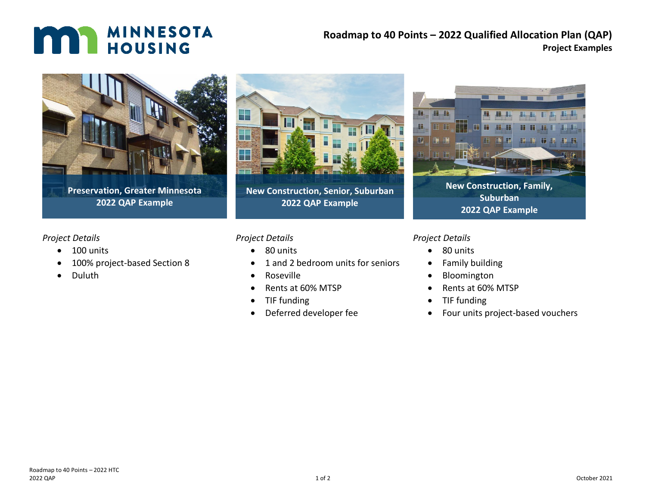# **MAN MINNESOTA**

### **Roadmap to 40 Points – 2022 Qualified Allocation Plan (QAP) Project Examples**



**Preservation, Greater Minnesota 2022 QAP Example**

#### *Project Details*

- 100 units
- 100% project-based Section 8
- Duluth



**New Construction, Senior, Suburban 2022 QAP Example**

#### *Project Details*

- 80 units
- 1 and 2 bedroom units for seniors
- Roseville
- Rents at 60% MTSP
- TIF funding
- Deferred developer fee



**New Construction, Family, Suburban 2022 QAP Example**

#### *Project Details*

- 80 units
- Family building
- Bloomington
- Rents at 60% MTSP
- TIF funding
- Four units project-based vouchers